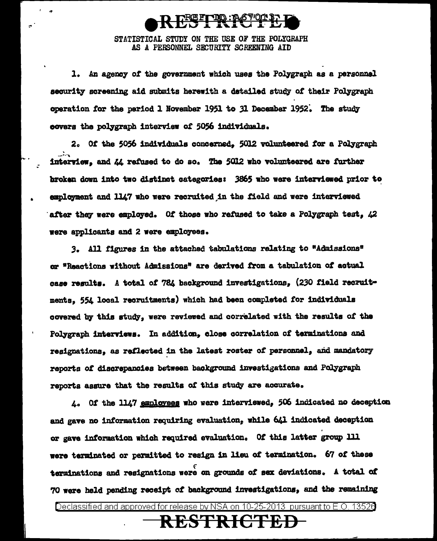

STATISTICAL STUDY ON THE USE OF THE POLYGRAFH AS A PERSONNEL SECURITY SCREENING AID

1. An agency of the government which uses the Polygraph as a personnal security screening aid submits herewith a detailed study of their Polygraph operation for the period 1 November 1951 to 31 December 1952. The study covers the polygraph interview of 5056 individuals.

2. Of the 5056 individuals concerned. 5012 volunteered for a Polygraph interview, and  $\mathcal{U}_k$  refused to do so. The 5012 who volunteered are further broken down into two distinct categories: 3865 who were interviewed prior to employment and 1147 who were recruited in the field and were interviewed after they were employed. Of those who refused to take a Polygraph test, 42 were applicants and 2 were employees.

3. All figures in the attached tabulations relating to "Admissions" or "Reactions without Admissions" are derived from a tabulation of actual case results. A total of 784 background investigations, (230 field recruitments, 554 local recruitments) which had been completed for individuals covered by this study, were reviewed and correlated with the results of the Polygraph interviews. In addition, close correlation of terminations and resignations, as reflected in the latest roster of personnel, and mandatory reports of discrepancies between background investigations and Polygraph reports assure that the results of this study are accurate.

4. Of the 1147 employees who were interviewed, 506 indicated no deception and gave no information requiring evaluation, while 641 indicated deception or gave information which required evaluation. Of this latter group 111 were terminated or permitted to resign in lieu of termination. 67 of these terminations and resignations were on grounds of sex deviations. A total of 70 were held pending receipt of background investigations, and the remaining

Declassified and approved for release by NSA on 10-25-2013 pursuant to E.O. 13526

### <del>RESTRICTED</del>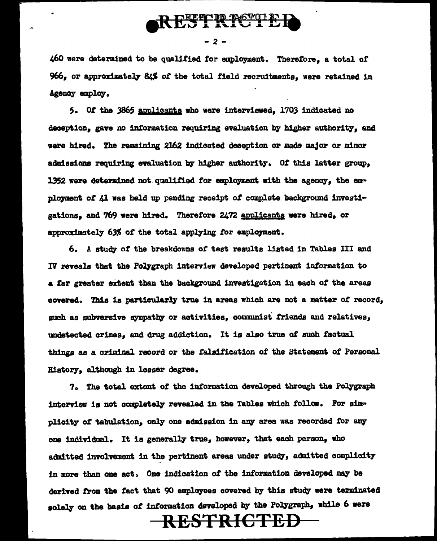

 $-2-$ 

460 were determined to be qualified for employment. Therefore, a total of 966, or approximately 84% of the total field recruitments, were retained in Agency employ.

5. Of the 3865 applicants who were interviewed, 1703 indicated no deception, gave no information requiring evaluation by higher authority, and were hired. The remaining 2162 indicated deception or made major or minor admissions requiring evaluation by higher authority. Of this latter group. 1352 were determined not qualified for employment with the agency, the employment of 41 was held up pending receipt of complete background investigations. and 769 were hired. Therefore 2472 applicants were hired. or approximately 63% of the total applying for employment.

6. A study of the breakdowns of test results listed in Tables III and IV reveals that the Polygraph interview developed pertinent information to a far greater extent than the background investigation in each of the areas covered. This is particularly true in areas which are not a matter of record, such as subversive sympathy or activities, communist friends and relatives, undetected crimes, and drug addiction. It is also true of such factual things as a criminal record or the falsification of the Statement of Personal History, although in leaser degree.

7. The total extent of the information developed through the Polygraph interview is not completely revealed in the Tables which follow. For simplicity of tabulation, only one admission in any area was recorded for any one individual. It is generally true, however, that each person, who admitted involvement in the pertinent areas under study, admitted complicity in more than one act. One indication of the information developed may be derived from the fact that 90 employees covered by this study were terminated solely on the basis of information developed by the Polygraph, while 6 were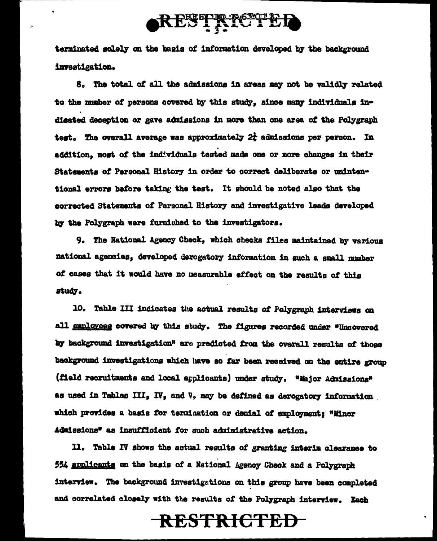

terminated solely on the basis of information developed by the background investigation.

8. The total of all the admissions in areas may not be validly related to the mumber of persons covered by this study, since many individuals indieated deception or gave admissions in more than one area of the Polygraph test. The overall average was approximately  $2t$  admissions per person. In addition, most of the individuals tested made one or more changes in their Statements of Personal History in order to correct deliberate or unintentional errors before taking the test. It should be noted also that the corrected Statements of Personal History and investigative leads developed by the Polygraph were furnished to the investigators.

9. The National Agency Check, which checks files maintained by various national agencies, developed derogatory information in such a small number of cases that it would have no measurable effect on the results of this study.

10. Table III indicates the actual results of Polygraph interviews on all employees covered by this study. The figures recorded under "Uncovered by background investigation" are predicted from the overall results of those background investigations which have so far been received on the entire group (field recruitments and local applicants) under study. "Major Admissions" as used in Tables III, IV, and V, may be defined as derogatory information. which provides a basis for termination or denial of employment: "Minor Admissions" as insufficient for such administrative action.

11. Table IV shows the actual results of granting interim clearance to 554 applicants on the basis of a National Agency Check and a Polygraph interview. The background investigations on this group have been completed and correlated closely with the results of the Polygraph interview. Each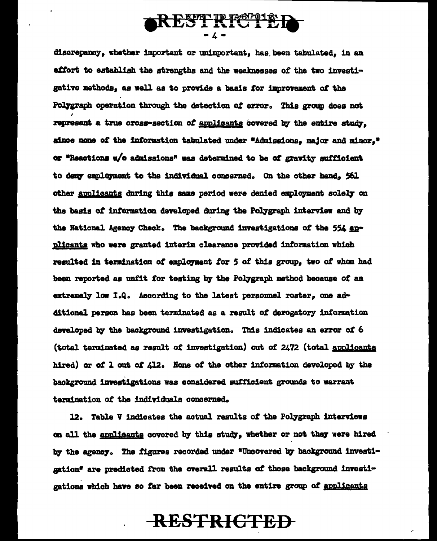

discrepancy, whether important or unimportant, has been tabulated, in an effort to establish the strengths and the weaknesses of the two investigative methods, as well as to provide a basis for improvement of the Polygraph operation through the detection of error. This group does not represent a true cross-section of applicants covered by the entire study. since none of the information tabulated under "Admissions, major and minor," or "Reactions w/o admissions" was determined to be of gravity sufficient to deny employment to the individual concerned. On the other hand. 561 other applicants during this same period were denied employment solely on the basis of information developed during the Polygraph interview and by the National Agency Check. The background investigations of the 554 applicants who were granted interim clearance provided information which resulted in termination of employment for 5 of this group. two of whom had been reported as unfit for testing by the Polygraph method because of an extremely low I.Q. According to the latest personnel roster, one additional person has been terminated as a result of derogatory information developed by the background investigation. This indicates an error of 6 (total terminated as result of investigation) out of 2472 (total applicants hired) or of 1 out of  $\angle 12$ . None of the other information developed by the background investigations was considered sufficient grounds to warrant termination of the individuals concerned.

12. Table V indicates the actual results of the Polygraph interviews on all the applicants covered by this study, whether or not they were hired by the agency. The figures recorded under "Uncovered by background investigation" are predicted from the overall results of those background investigations which have so far been received on the entire group of applicants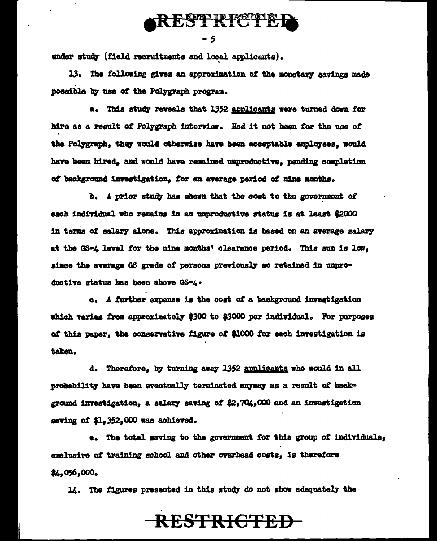

under study (field recruitments and local applicants).

13. The following gives an approximation of the monetary savings made possible by use of the Polygraph program.

a. This study reveals that 1352 applicants were turned down for hire as a result of Polygraph interview. Had it not been for the use of the Polygraph, they would otherwise have been acceptable employees, would have been hired, and would have remained unproductive, pending completion of background investigation, for an average period of nine months.

b. A prior study has shown that the cost to the government of each individual who remains in an unproductive status is at least \$2000 in terms of salary alone. This approximation is based on an average salary at the GS-4 level for the nine months' clearance period. This sum is low. since the average GS grade of persons previously so retained in unproductive status has been above GS-4.

c. A further expense is the cost of a background investigation which varies from approximately \$300 to \$3000 per individual. For purposes of this paper, the conservative figure of \$1000 for each investigation is taken.

d. Therefore, by turning away 1352 applicants who would in all probability have been eventually terminated anyway as a result of background investigation, a salary saving of \$2,704,000 and an investigation saving of \$1.352.000 was achieved.

e. The total saving to the government for this group of individuals. exclusive of training school and other overhead costs, is therefore \$4,056,000.

14. The figures presented in this study do not show adequately the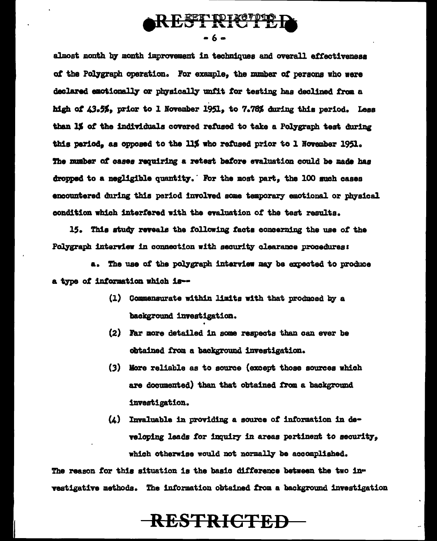

almost month by month improvement in techniques and overall effectiveness of the Polygraph operation. For example, the number of persons who were declared emotionally or physically unfit for testing has declined from a high of 43.5%, prior to 1 November 1951, to 7.78% during this period. Less than 1% of the individuals covered refused to take a Polygraph test during this period, as opposed to the 11% who refused prior to 1 November 1951. The number of cases requiring a retest before evaluation could be made has dropped to a negligible quantity. For the most part, the 100 guch cases encountered during this period involved some temporary emotional or physical condition which interfered with the evaluation of the test results.

15. This study reveals the following facts concerning the use of the Polygraph interview in connection with security clearance procedures:

a. The use of the polygraph interview may be expected to produce a type of information which is--

- (1) Commensurate within limits with that produced by a background investigation.
- (2) Far more detailed in some respects than can ever be obtained from a background investigation.
- (3) More reliable as to source (except those sources which are documented) than that obtained from a background investigation.
- $(4)$  Invaluable in providing a source of information in developing leads for inquiry in areas pertinent to security. which otherwise would not normally be accomplished.

The reason for this situation is the basic difference between the two investigative methods. The information obtained from a background investigation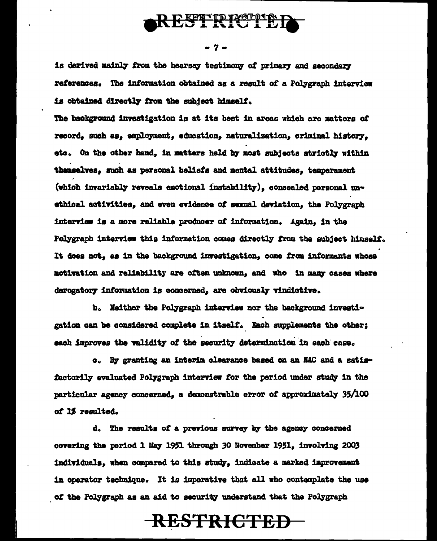

- 7 -

is derived mainly from the hearsay testimony of primary and secondary references. The information obtained as a result of a Polygraph interview is obtained directly from the subject himself.

The background investigation is at its best in areas which are matters of record, such as, employment, education, naturalization, criminal history. etc. On the other hand, in matters held by most subjects strictly within themselves, such as personal beliefs and mental attitudes, temperament (which invariably reveals emotional instability), concealed personal unethical activities, and even evidence of sexual deviation, the Polygraph interview is a more reliable producer of information. Again, in the Polygraph interview this information comes directly from the subject himself. It does not, as in the background investigation, come from informants whose motivation and reliability are often unknown, and who in many cases where derogatory information is concerned, are obviously vindictive.

b. Neither the Polygraph interview nor the background investigation can be considered complete in itself. Each supplements the other; each improves the validity of the security determination in each case.

c. By granting an interim clearance based on an NAC and a satisfactorily evaluated Polygraph interview for the period under study in the particular agency concerned, a demonstrable error of approximately 35/100 of 1% resulted.

d. The results of a previous survey by the agency concerned covering the period 1 May 1951 through 30 November 1951, involving 2003 individuals, when compared to this study, indicate a marked improvement in operator technique. It is imperative that all who contemplate the use of the Polygraph as an aid to security understand that the Polygraph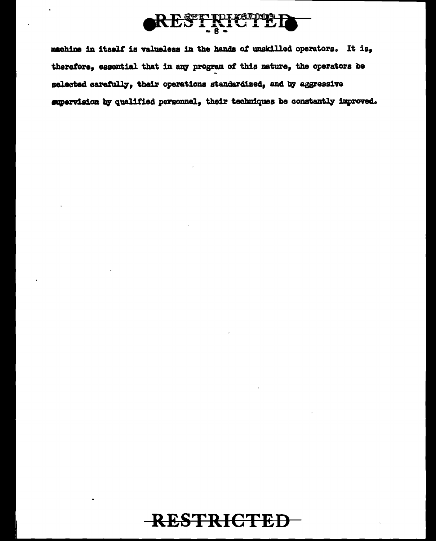

machine in itself is valueless in the hands of unskilled operators. It is, therefore, essential that in any program of this nature, the operators be selected carefully, their operations standardized, and by aggressive supervision by qualified personnel, their techniques be constantly improved.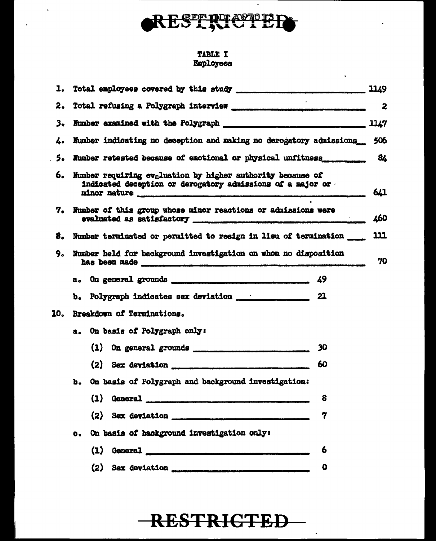

 $\hat{\phantom{a}}$ 

 $\bullet$ 

 $\hat{\textbf{v}}$ 

# **TABLE I<br>Employees**

| ı. |                                                                                                                                                                                                                                                                                                         | 1149 |  |  |  |
|----|---------------------------------------------------------------------------------------------------------------------------------------------------------------------------------------------------------------------------------------------------------------------------------------------------------|------|--|--|--|
| 2. |                                                                                                                                                                                                                                                                                                         |      |  |  |  |
| 3. |                                                                                                                                                                                                                                                                                                         |      |  |  |  |
| 4. | Number indicating no deception and making no derogatory admissions 506                                                                                                                                                                                                                                  |      |  |  |  |
| 5. | Number retested because of emotional or physical unfitness _____________ 84                                                                                                                                                                                                                             |      |  |  |  |
| 6. | Mumber requiring evaluation by higher authority because of<br>indicated deception or derogatory admissions of a major or                                                                                                                                                                                |      |  |  |  |
|    | 7. Number of this group whose minor reactions or admissions were                                                                                                                                                                                                                                        | 460  |  |  |  |
| 8. | Number terminated or permitted to resign in lieu of termination ____                                                                                                                                                                                                                                    | 111  |  |  |  |
| 9. | Number held for background investigation on whom no disposition<br>has been made <b>with the component of the component of the component of the component of the component of the component of the component of the component of the component of the component of the component of the component o</b> |      |  |  |  |
|    |                                                                                                                                                                                                                                                                                                         |      |  |  |  |
|    |                                                                                                                                                                                                                                                                                                         |      |  |  |  |
|    | 10. Breakdown of Terminations.                                                                                                                                                                                                                                                                          |      |  |  |  |
|    | a. On basis of Polygraph only:                                                                                                                                                                                                                                                                          |      |  |  |  |
|    | 30                                                                                                                                                                                                                                                                                                      |      |  |  |  |
|    | $(2)$ Sex deviation<br>60                                                                                                                                                                                                                                                                               |      |  |  |  |
|    | On basis of Polygraph and background investigation:<br>Ъ.                                                                                                                                                                                                                                               |      |  |  |  |
|    | (1) General <b>contact and the Contract of Contact and Contact and Contact and Contact and Contact and Contact and Contact and Contact and Contact and Contact and Contact and Contact and Contact and Contact and Contact and C</b><br>8                                                               |      |  |  |  |
|    | 7                                                                                                                                                                                                                                                                                                       |      |  |  |  |
|    | On basis of background investigation only:<br>$\mathbf{c}_{\bullet}$                                                                                                                                                                                                                                    |      |  |  |  |
|    | (1) General <b>contact and the contact of the contact of the contact of the contact of the contact of the contact of the contact of the contact of the contact of the contact of the contact of the contact of the contact of th</b><br>6                                                               |      |  |  |  |
|    | $\mathbf 0$                                                                                                                                                                                                                                                                                             |      |  |  |  |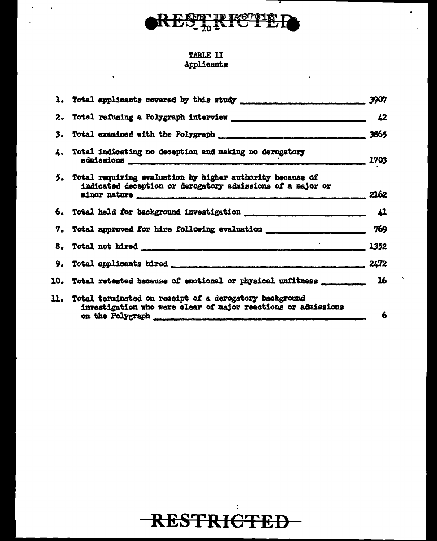

.

#### TABLE II Applicants

|                                                                                                                                                                                                                                               | 3907 |
|-----------------------------------------------------------------------------------------------------------------------------------------------------------------------------------------------------------------------------------------------|------|
|                                                                                                                                                                                                                                               |      |
|                                                                                                                                                                                                                                               | 3865 |
| 4. Total indicating no deception and making no derogatory<br>admissions 1703                                                                                                                                                                  |      |
| 5. Total requiring evaluation by higher authority because of<br>indicated deception or derogatory admissions of a major or<br>minor nature <b>communications</b> and the construction of the contract of the construction of the construction | 2162 |
| 6. Total held for background investigation _______________________________ 41                                                                                                                                                                 |      |
| 7. Total approved for hire following evaluation ________________________________                                                                                                                                                              | 769  |
|                                                                                                                                                                                                                                               |      |
|                                                                                                                                                                                                                                               | 2472 |
| 10. Total retested because of emotional or physical unfitness ____________ 16                                                                                                                                                                 |      |
| 11. Total terminated on receipt of a derogatory background<br>investigation who were clear of major reactions or admissions<br>on the Polygraph contract of the Polygraph                                                                     | 6    |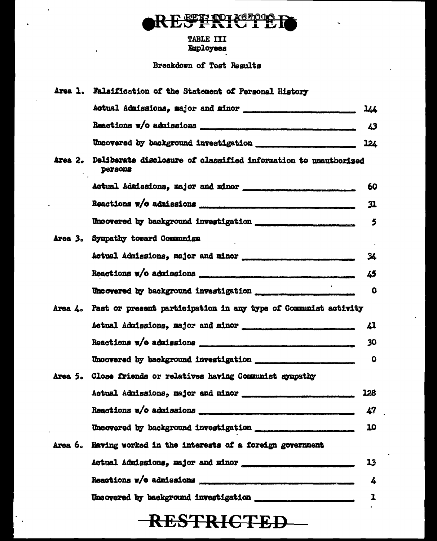

# **TABLE III<br>Employees**

Breakdown of Test Results

| Area 1. Falsification of the Statement of Personal History                                |             |
|-------------------------------------------------------------------------------------------|-------------|
|                                                                                           | 144         |
|                                                                                           | 43          |
|                                                                                           |             |
| Area 2. Deliberate disclosure of classified information to unauthorized<br><b>Persons</b> |             |
|                                                                                           | 60          |
|                                                                                           | 31          |
|                                                                                           | 5           |
| Area 3. Sympathy toward Communism                                                         |             |
| Actual Admissions, major and minor                                                        | 34          |
|                                                                                           | 45          |
|                                                                                           | $\mathbf o$ |
| Area 4. Past or present participation in any type of Communist activity                   |             |
| Actual Admissions, major and minor                                                        | 41          |
|                                                                                           | 30          |
|                                                                                           | $\mathbf 0$ |
| Area 5. Close friends or relatives having Communist sympathy                              |             |
|                                                                                           | 128         |
|                                                                                           | 47          |
|                                                                                           | 10          |
| Area 6. Having worked in the interests of a foreign government                            |             |
|                                                                                           | 13          |
|                                                                                           | 4           |
|                                                                                           | 1           |
|                                                                                           |             |

## **RESTRICTED**

 $\overline{\phantom{a}}$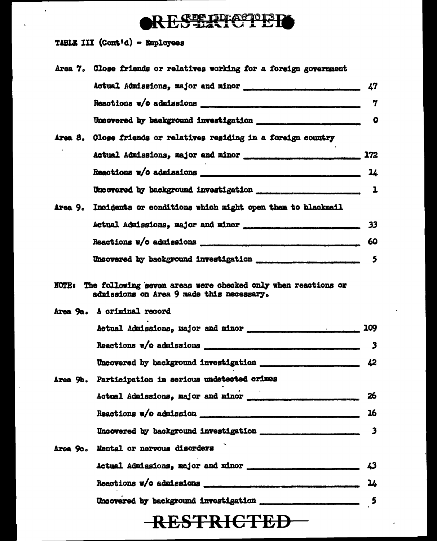### RES HATCTER

TABLE III (Cont'd) - Employees

 $\bar{\mathbf{v}}$ 

 $\ddot{\phantom{a}}$ 

 $\ddot{\phantom{a}}$ 

| Area 7. Close friends or relatives working for a foreign government |                         |
|---------------------------------------------------------------------|-------------------------|
| Actual Admissions, major and minor                                  | 47                      |
|                                                                     | 7                       |
|                                                                     | $\mathbf o$             |
| Area 8. Close friends or relatives residing in a foreign country    |                         |
|                                                                     |                         |
|                                                                     | 14                      |
|                                                                     |                         |
| Area 9. Incidents or conditions which might open them to blackmail  |                         |
| Actual Admissions, major and minor                                  | 33                      |
|                                                                     | 60                      |
|                                                                     |                         |
| Area 9a. A criminal record                                          |                         |
|                                                                     |                         |
|                                                                     | 3                       |
|                                                                     |                         |
| Area 9b. Participation in serious undetected crimes                 |                         |
|                                                                     | 26                      |
|                                                                     | 16                      |
|                                                                     |                         |
| Area 9c. Mental or nervous disorders                                |                         |
|                                                                     | 43                      |
|                                                                     | 14                      |
|                                                                     | $\overline{\mathbf{5}}$ |
| <b>RESTRICTED-</b>                                                  |                         |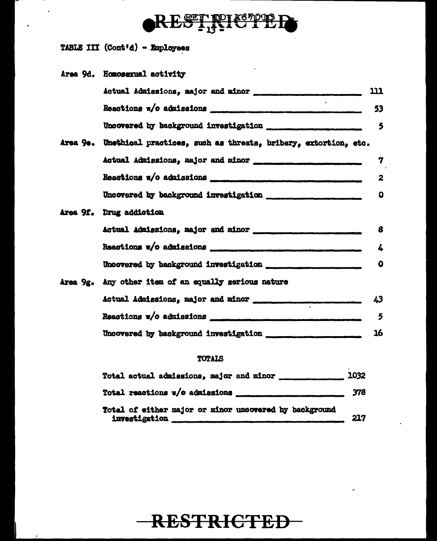

TABLE III (Cont'd) - Employees

÷,

| Area 9d. Homosexual activity                                            |     |
|-------------------------------------------------------------------------|-----|
| Actual Admissions, major and minor                                      | 111 |
|                                                                         | 53  |
| Uncovered by background investigation                                   | 5   |
| Area 9e. Unethical practices, such as threats, bribery, extortion, etc. |     |
|                                                                         | 7   |
|                                                                         | 2   |
| Uncovered by background investigation                                   | 0   |
| Area 9f. Drug addiction                                                 |     |
|                                                                         | 8   |
|                                                                         | 4   |
|                                                                         | 0   |
| Area 9g. Any other item of an equally serious nature                    |     |
| Actual Admissions, major and minor ____________                         | 43  |
|                                                                         | 5   |
|                                                                         | 16  |
|                                                                         |     |

#### TOTALS

| Total actual admissions, major and minor ___________________ 1032 |     |
|-------------------------------------------------------------------|-----|
|                                                                   |     |
| Total of either major or minor uncovered by background            | 217 |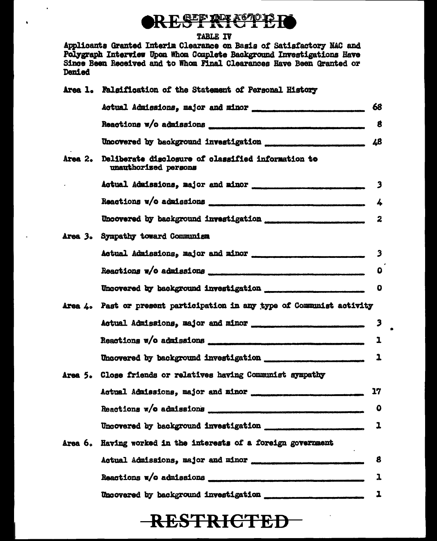### RESTRICTER

#### TABLE IV

 $\overline{\phantom{a}}$ 

 $\bullet$ 

Applicants Granted Interim Clearance on Basis of Satisfactory NAC and Polygraph Interview Upon Whom Complete Background Investigations Have Since Been Received and to Whom Final Clearances Have Been Granted or Denied

|                     | Area 1. Falsification of the Statement of Personal History                                                                                                                                                                           |                         |
|---------------------|--------------------------------------------------------------------------------------------------------------------------------------------------------------------------------------------------------------------------------------|-------------------------|
|                     | Actual Admissions, major and minor                                                                                                                                                                                                   | 68                      |
|                     |                                                                                                                                                                                                                                      | 8                       |
|                     |                                                                                                                                                                                                                                      | 48                      |
| Area <sub>2</sub> . | Deliberate disclosure of classified information to<br>unauthorized persons                                                                                                                                                           |                         |
|                     |                                                                                                                                                                                                                                      | $\overline{\mathbf{3}}$ |
|                     | Reactions w/o admissions <i>support the contract of the contract of the contract of the contract of the contract of the contract of the contract of the contract of the contract of the contract of the contract of the contract</i> | 4                       |
|                     |                                                                                                                                                                                                                                      | 2                       |
|                     | Area 3. Sympathy toward Communism                                                                                                                                                                                                    |                         |
|                     |                                                                                                                                                                                                                                      | $\overline{\mathbf{3}}$ |
|                     |                                                                                                                                                                                                                                      | O                       |
|                     |                                                                                                                                                                                                                                      | $\mathbf 0$             |
|                     | Area 4. Past or present participation in any type of Communist activity                                                                                                                                                              |                         |
|                     |                                                                                                                                                                                                                                      | 3                       |
|                     |                                                                                                                                                                                                                                      | 1                       |
|                     |                                                                                                                                                                                                                                      | 1                       |
|                     | Area 5. Close friends or relatives having Communist sympathy                                                                                                                                                                         |                         |
|                     | Actual Admissions, major and minor                                                                                                                                                                                                   | 17                      |
|                     |                                                                                                                                                                                                                                      | $\mathbf 0$             |
|                     |                                                                                                                                                                                                                                      | 1                       |
|                     | Area 6. Having worked in the interests of a foreign government                                                                                                                                                                       |                         |
|                     |                                                                                                                                                                                                                                      | 8                       |
|                     |                                                                                                                                                                                                                                      | ı                       |
|                     |                                                                                                                                                                                                                                      | 1                       |

٠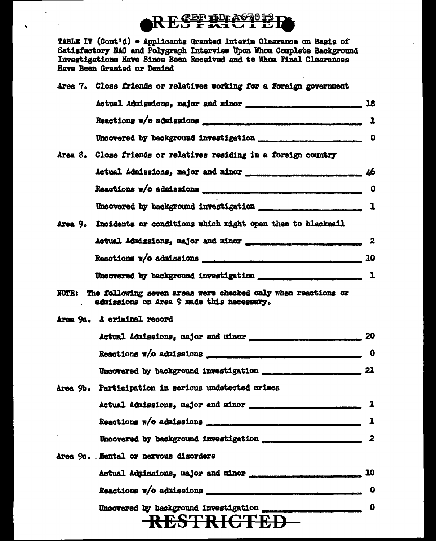## RES FRICTER

لقصد

TABLE IV (Cont'd) - Applicants Granted Interim Glearance on Basis of Satisfactory NAC and Polygraph Interview Upon Whom Complete Background Investigations Have Since Been Received and to Whom Final Clearances Have Been Granted or Denied

Mass Butcher on notations modeling for a fixed

 $\ddot{\phantom{a}}$ 

America PF

 $\bullet$ 

| wies (° ninge titemus of letafines molttud for a loneith Knasiment                                               |
|------------------------------------------------------------------------------------------------------------------|
|                                                                                                                  |
|                                                                                                                  |
|                                                                                                                  |
| Area 8. Close friends or relatives residing in a foreign country                                                 |
| Actual Admissions, major and minor __________________________________ 46                                         |
|                                                                                                                  |
|                                                                                                                  |
| Area 9. Incidents or conditions which might open them to blackmail                                               |
|                                                                                                                  |
|                                                                                                                  |
|                                                                                                                  |
| NOTE: The following seven areas were checked only when reactions or<br>admissions on Area 9 made this necessary. |
| Area 9a. A criminal record                                                                                       |
|                                                                                                                  |
|                                                                                                                  |
|                                                                                                                  |
| Area 9b. Participation in serious undetected crimes                                                              |
| Actual Admissions, major and minor                                                                               |
| Reactions w/o admissions communications and the second services                                                  |
|                                                                                                                  |
| Area 9c. Mental or nervous disorders                                                                             |
|                                                                                                                  |
|                                                                                                                  |
| RESTRICTED                                                                                                       |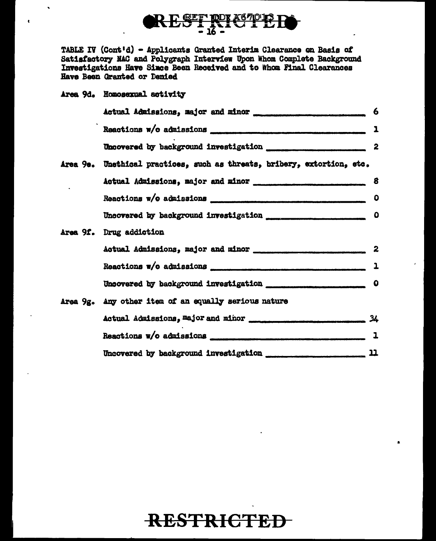

TABLE IV (Cont'd) - Applicants Granted Interim Clearance on Basis of Satisfactory NAC and Polygraph Interview Upon Whom Complete Background Investigations Have Since Been Received and to Whom Final Clearances Have Been Granted or Denied

Area 9d. Homosexual activity

 $\bullet$ 

|  | Actual Admissions, major and minor                                      | 6            |
|--|-------------------------------------------------------------------------|--------------|
|  |                                                                         |              |
|  |                                                                         |              |
|  | Area 9e. Unethical practices, such as threats, bribery, extortion, etc. |              |
|  |                                                                         | 8            |
|  |                                                                         |              |
|  |                                                                         |              |
|  | Area 9f. Drug addiction                                                 |              |
|  |                                                                         | 2            |
|  |                                                                         | -1           |
|  |                                                                         |              |
|  | Area 9g. Any other item of an equally serious nature                    |              |
|  |                                                                         |              |
|  |                                                                         | $\mathbf{1}$ |
|  |                                                                         | 끄            |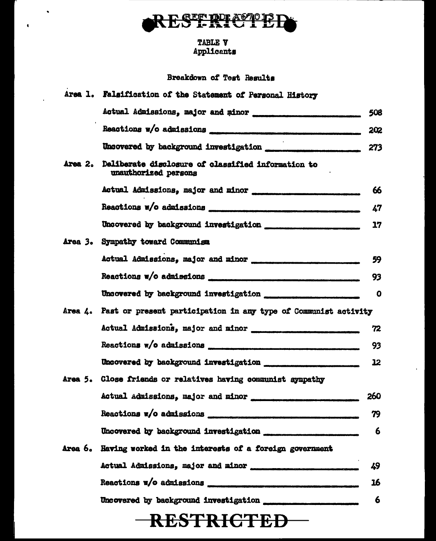

 $\bullet$ 

 $\mathbf{r}$ 

# TABLE V<br>Applicants

#### Breakdown of Test Results

|                | Area 1. Falsification of the Statement of Personal History                          |             |
|----------------|-------------------------------------------------------------------------------------|-------------|
|                |                                                                                     | 508         |
|                | Reactions w/o admissions <b>continuous continuous continuous</b>                    | 202         |
|                |                                                                                     |             |
| Area 2.        | Deliberate disclosure of classified information to<br>unauthorized persons          |             |
|                |                                                                                     | 66          |
|                | Reactions w/o admissions <i>encouramente and the manufacture of the manufacture</i> | 47          |
|                |                                                                                     | 17          |
|                | Area 3. Sympathy toward Communism                                                   |             |
|                | Actual Admissions, major and minor                                                  | 59          |
|                |                                                                                     | 93          |
|                |                                                                                     | $\mathbf o$ |
|                | Area 4. Past or present participation in any type of Communist activity             |             |
|                | Actual Admissions, major and minor                                                  | 72          |
|                |                                                                                     | 93          |
|                |                                                                                     | 12          |
|                | Area 5. Close friends or relatives having communist sympathy                        |             |
|                | Actual Admissions, major and minor                                                  | 260         |
|                |                                                                                     | 79          |
|                |                                                                                     | 6           |
| <b>Area 6.</b> | Having worked in the interests of a foreign government                              |             |
|                |                                                                                     | 49          |
|                |                                                                                     | 16          |
|                |                                                                                     | 6           |
|                | <del>RESTRICTED –</del>                                                             |             |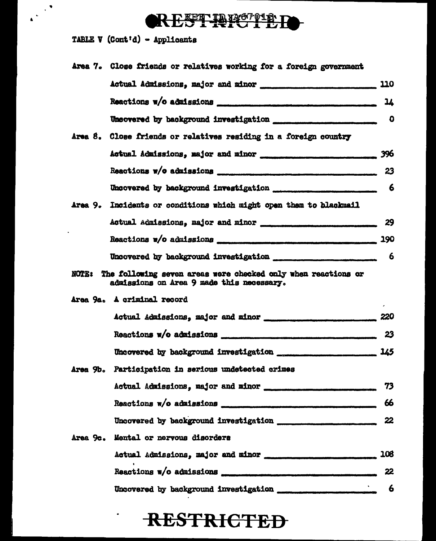## RESTRICTED.

TABLE  $V$  (Cont'd) - Applicants

 $\begin{pmatrix} 1 & 1 \\ 1 & 1 \end{pmatrix}$ 

| Area 7. Close friends or relatives working for a foreign government                                                                                                                                                                  |     |
|--------------------------------------------------------------------------------------------------------------------------------------------------------------------------------------------------------------------------------------|-----|
|                                                                                                                                                                                                                                      |     |
|                                                                                                                                                                                                                                      | 14  |
|                                                                                                                                                                                                                                      |     |
| Area 8. Close friends or relatives residing in a foreign country                                                                                                                                                                     |     |
|                                                                                                                                                                                                                                      |     |
|                                                                                                                                                                                                                                      |     |
|                                                                                                                                                                                                                                      |     |
| Area 9. Incidents or conditions which might open them to blackmail                                                                                                                                                                   |     |
|                                                                                                                                                                                                                                      |     |
|                                                                                                                                                                                                                                      |     |
|                                                                                                                                                                                                                                      |     |
| NOTE: The following seven areas were checked only when reactions or<br>admissions on Area 9 made this necessary.                                                                                                                     |     |
| Area 9a. A criminal record                                                                                                                                                                                                           |     |
|                                                                                                                                                                                                                                      |     |
|                                                                                                                                                                                                                                      | 23  |
| Uncovered by background investigation _____________________________ 145                                                                                                                                                              |     |
| Area 9b. Participation in serious undetected crimes                                                                                                                                                                                  |     |
|                                                                                                                                                                                                                                      | 73  |
|                                                                                                                                                                                                                                      | 66  |
|                                                                                                                                                                                                                                      | 22  |
| Area 9c. Mental or nervous disorders                                                                                                                                                                                                 |     |
|                                                                                                                                                                                                                                      | 108 |
| Reactions w/o admissions <b>contains a contract of the contract of the contract of the contract of the contract of the contract of the contract of the contract of the contract of the contract of the contract of the contract </b> | 22  |
|                                                                                                                                                                                                                                      | 6   |